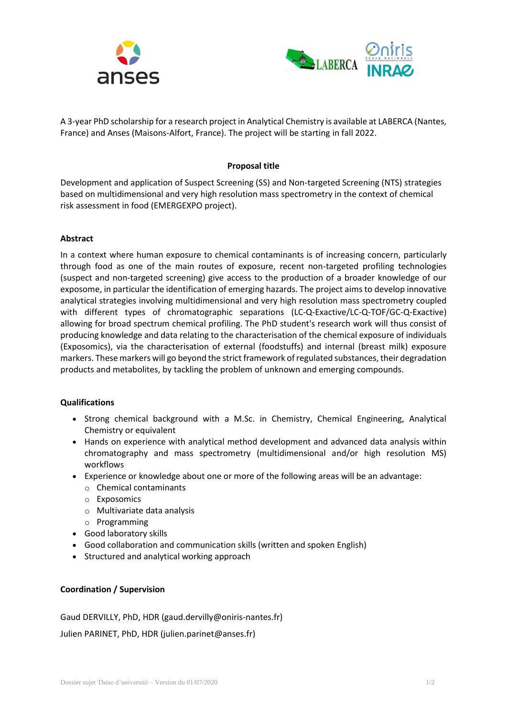



A 3-year PhD scholarship for a research project in Analytical Chemistry is available at LABERCA (Nantes, France) and Anses (Maisons-Alfort, France). The project will be starting in fall 2022.

## **Proposal title**

Development and application of Suspect Screening (SS) and Non-targeted Screening (NTS) strategies based on multidimensional and very high resolution mass spectrometry in the context of chemical risk assessment in food (EMERGEXPO project).

## **Abstract**

In a context where human exposure to chemical contaminants is of increasing concern, particularly through food as one of the main routes of exposure, recent non-targeted profiling technologies (suspect and non-targeted screening) give access to the production of a broader knowledge of our exposome, in particular the identification of emerging hazards. The project aims to develop innovative analytical strategies involving multidimensional and very high resolution mass spectrometry coupled with different types of chromatographic separations (LC-Q-Exactive/LC-Q-TOF/GC-Q-Exactive) allowing for broad spectrum chemical profiling. The PhD student's research work will thus consist of producing knowledge and data relating to the characterisation of the chemical exposure of individuals (Exposomics), via the characterisation of external (foodstuffs) and internal (breast milk) exposure markers. These markers will go beyond the strict framework of regulated substances, their degradation products and metabolites, by tackling the problem of unknown and emerging compounds.

## **Qualifications**

- Strong chemical background with a M.Sc. in Chemistry, Chemical Engineering, Analytical Chemistry or equivalent
- Hands on experience with analytical method development and advanced data analysis within chromatography and mass spectrometry (multidimensional and/or high resolution MS) workflows
- Experience or knowledge about one or more of the following areas will be an advantage:
	- o Chemical contaminants
	- o Exposomics
	- o Multivariate data analysis
	- o Programming
- Good laboratory skills
- Good collaboration and communication skills (written and spoken English)
- Structured and analytical working approach

## **Coordination / Supervision**

Gaud DERVILLY, PhD, HDR (gaud.dervilly@oniris-nantes.fr)

Julien PARINET, PhD, HDR (julien.parinet@anses.fr)